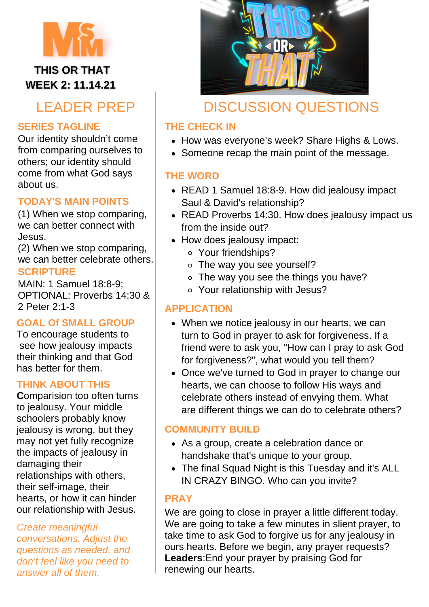

**WEEK 2: 11.14.21** 

# LEADER PREP

## **SERIES TAGLINE**

Our identity shouldn't come from comparing ourselves to others; our identity should come from what God says about us.

## **TODAY'S MAIN POINTS**

(1) When we stop comparing, we can better connect with Jesus.

(2) When we stop comparing, we can better celebrate others.

### **SCRIPTURE**

MAIN: 1 Samuel 18:8-9; OPTIONAL: Proverbs 14:30 & 2 Peter 2:1-3

### **GOAL Of SMALL GROUP**

To encourage students to see how jealousy impacts their thinking and that God has better for them.

### **THINK ABOUT THIS**

**C**omparision too often turns to jealousy. Your middle schoolers probably know jealousy is wrong, but they may not yet fully recognize the impacts of jealousy in damaging their relationships with others, their self-image, their hearts, or how it can hinder our relationship with Jesus.

*Create meaningful conversations. Adjust the questions as needed, and don't feel like you need to answer all of them.*



## DISCUSSION QUESTIONS

## **THE CHECK IN**

- How was everyone's week? Share Highs & Lows.
- Someone recap the main point of the message.

## **THE WORD**

- READ 1 Samuel 18:8-9. How did jealousy impact Saul & David's relationship?
- READ Proverbs 14:30. How does jealousy impact us from the inside out?
- How does jealousy impact:
	- Your friendships?
	- The way you see yourself?
	- o The way you see the things you have?
	- Your relationship with Jesus?

## **APPLICATION**

- When we notice jealousy in our hearts, we can turn to God in prayer to ask for forgiveness. If a friend were to ask you, "How can I pray to ask God for forgiveness?", what would you tell them?
- Once we've turned to God in prayer to change our hearts, we can choose to follow His ways and celebrate others instead of envying them. What are different things we can do to celebrate others?

## **COMMUNITY BUILD**

- As a group, create a celebration dance or handshake that's unique to your group.
- The final Squad Night is this Tuesday and it's ALL IN CRAZY BINGO. Who can you invite?

## **PRAY**

We are going to close in prayer a little different today. We are going to take a few minutes in slient prayer, to take time to ask God to forgive us for any jealousy in ours hearts. Before we begin, any prayer requests? **Leaders**:End your prayer by praising God for renewing our hearts.